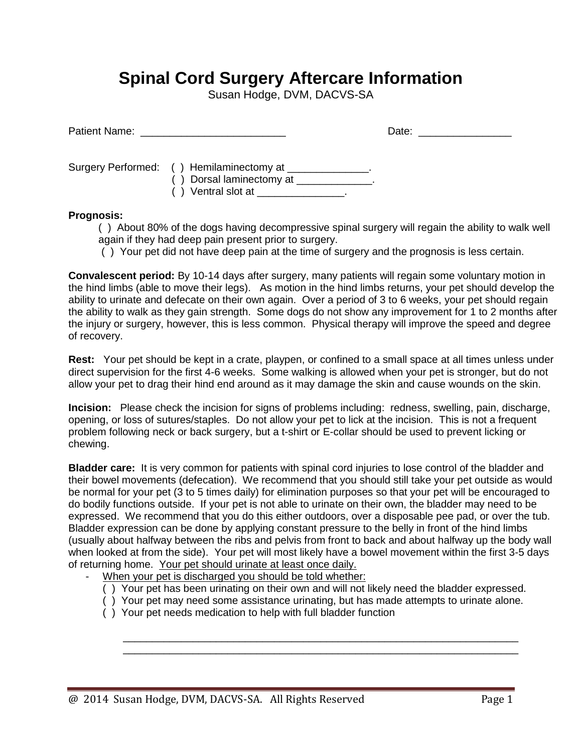## **Spinal Cord Surgery Aftercare Information**

Susan Hodge, DVM, DACVS-SA

|                                                                                                                                       | Date: ________________ |
|---------------------------------------------------------------------------------------------------------------------------------------|------------------------|
| Surgery Performed: () Hemilaminectomy at ______________.<br>$( )$ Dorsal laminectomy at $\Box$<br>() Ventral slot at _______________. |                        |

## **Prognosis:**

( ) About 80% of the dogs having decompressive spinal surgery will regain the ability to walk well again if they had deep pain present prior to surgery.

( ) Your pet did not have deep pain at the time of surgery and the prognosis is less certain.

**Convalescent period:** By 10-14 days after surgery, many patients will regain some voluntary motion in the hind limbs (able to move their legs). As motion in the hind limbs returns, your pet should develop the ability to urinate and defecate on their own again. Over a period of 3 to 6 weeks, your pet should regain the ability to walk as they gain strength. Some dogs do not show any improvement for 1 to 2 months after the injury or surgery, however, this is less common. Physical therapy will improve the speed and degree of recovery.

**Rest:** Your pet should be kept in a crate, playpen, or confined to a small space at all times unless under direct supervision for the first 4-6 weeks. Some walking is allowed when your pet is stronger, but do not allow your pet to drag their hind end around as it may damage the skin and cause wounds on the skin.

**Incision:** Please check the incision for signs of problems including: redness, swelling, pain, discharge, opening, or loss of sutures/staples. Do not allow your pet to lick at the incision. This is not a frequent problem following neck or back surgery, but a t-shirt or E-collar should be used to prevent licking or chewing.

**Bladder care:** It is very common for patients with spinal cord injuries to lose control of the bladder and their bowel movements (defecation). We recommend that you should still take your pet outside as would be normal for your pet (3 to 5 times daily) for elimination purposes so that your pet will be encouraged to do bodily functions outside. If your pet is not able to urinate on their own, the bladder may need to be expressed. We recommend that you do this either outdoors, over a disposable pee pad, or over the tub. Bladder expression can be done by applying constant pressure to the belly in front of the hind limbs (usually about halfway between the ribs and pelvis from front to back and about halfway up the body wall when looked at from the side). Your pet will most likely have a bowel movement within the first 3-5 days of returning home. Your pet should urinate at least once daily.

- When your pet is discharged you should be told whether:
	- ( ) Your pet has been urinating on their own and will not likely need the bladder expressed.
	- ( ) Your pet may need some assistance urinating, but has made attempts to urinate alone.

 $\overline{\phantom{a}}$  ,  $\overline{\phantom{a}}$  ,  $\overline{\phantom{a}}$  ,  $\overline{\phantom{a}}$  ,  $\overline{\phantom{a}}$  ,  $\overline{\phantom{a}}$  ,  $\overline{\phantom{a}}$  ,  $\overline{\phantom{a}}$  ,  $\overline{\phantom{a}}$  ,  $\overline{\phantom{a}}$  ,  $\overline{\phantom{a}}$  ,  $\overline{\phantom{a}}$  ,  $\overline{\phantom{a}}$  ,  $\overline{\phantom{a}}$  ,  $\overline{\phantom{a}}$  ,  $\overline{\phantom{a}}$  $\overline{\phantom{a}}$  ,  $\overline{\phantom{a}}$  ,  $\overline{\phantom{a}}$  ,  $\overline{\phantom{a}}$  ,  $\overline{\phantom{a}}$  ,  $\overline{\phantom{a}}$  ,  $\overline{\phantom{a}}$  ,  $\overline{\phantom{a}}$  ,  $\overline{\phantom{a}}$  ,  $\overline{\phantom{a}}$  ,  $\overline{\phantom{a}}$  ,  $\overline{\phantom{a}}$  ,  $\overline{\phantom{a}}$  ,  $\overline{\phantom{a}}$  ,  $\overline{\phantom{a}}$  ,  $\overline{\phantom{a}}$ 

( ) Your pet needs medication to help with full bladder function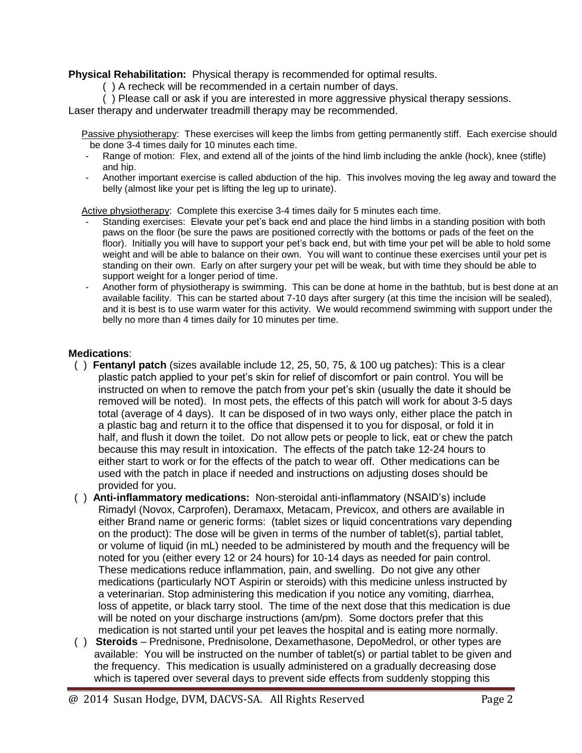**Physical Rehabilitation:** Physical therapy is recommended for optimal results.

( ) A recheck will be recommended in a certain number of days.

( ) Please call or ask if you are interested in more aggressive physical therapy sessions. Laser therapy and underwater treadmill therapy may be recommended.

 Passive physiotherapy: These exercises will keep the limbs from getting permanently stiff. Each exercise should be done 3-4 times daily for 10 minutes each time.

- Range of motion: Flex, and extend all of the joints of the hind limb including the ankle (hock), knee (stifle) and hip.
- Another important exercise is called abduction of the hip. This involves moving the leg away and toward the belly (almost like your pet is lifting the leg up to urinate).

Active physiotherapy: Complete this exercise 3-4 times daily for 5 minutes each time.

- Standing exercises: Elevate your pet's back end and place the hind limbs in a standing position with both paws on the floor (be sure the paws are positioned correctly with the bottoms or pads of the feet on the floor). Initially you will have to support your pet's back end, but with time your pet will be able to hold some weight and will be able to balance on their own. You will want to continue these exercises until your pet is standing on their own. Early on after surgery your pet will be weak, but with time they should be able to support weight for a longer period of time.
- Another form of physiotherapy is swimming. This can be done at home in the bathtub, but is best done at an available facility. This can be started about 7-10 days after surgery (at this time the incision will be sealed), and it is best is to use warm water for this activity. We would recommend swimming with support under the belly no more than 4 times daily for 10 minutes per time.

## **Medications**:

- ( ) **Fentanyl patch** (sizes available include 12, 25, 50, 75, & 100 ug patches): This is a clear plastic patch applied to your pet's skin for relief of discomfort or pain control. You will be instructed on when to remove the patch from your pet's skin (usually the date it should be removed will be noted). In most pets, the effects of this patch will work for about 3-5 days total (average of 4 days). It can be disposed of in two ways only, either place the patch in a plastic bag and return it to the office that dispensed it to you for disposal, or fold it in half, and flush it down the toilet. Do not allow pets or people to lick, eat or chew the patch because this may result in intoxication. The effects of the patch take 12-24 hours to either start to work or for the effects of the patch to wear off. Other medications can be used with the patch in place if needed and instructions on adjusting doses should be provided for you.
- ( ) **Anti-inflammatory medications:** Non-steroidal anti-inflammatory (NSAID's) include Rimadyl (Novox, Carprofen), Deramaxx, Metacam, Previcox, and others are available in either Brand name or generic forms: (tablet sizes or liquid concentrations vary depending on the product): The dose will be given in terms of the number of tablet(s), partial tablet, or volume of liquid (in mL) needed to be administered by mouth and the frequency will be noted for you (either every 12 or 24 hours) for 10-14 days as needed for pain control. These medications reduce inflammation, pain, and swelling. Do not give any other medications (particularly NOT Aspirin or steroids) with this medicine unless instructed by a veterinarian. Stop administering this medication if you notice any vomiting, diarrhea, loss of appetite, or black tarry stool. The time of the next dose that this medication is due will be noted on your discharge instructions (am/pm). Some doctors prefer that this medication is not started until your pet leaves the hospital and is eating more normally.
- ( ) **Steroids** Prednisone, Prednisolone, Dexamethasone, DepoMedrol, or other types are available: You will be instructed on the number of tablet(s) or partial tablet to be given and the frequency. This medication is usually administered on a gradually decreasing dose which is tapered over several days to prevent side effects from suddenly stopping this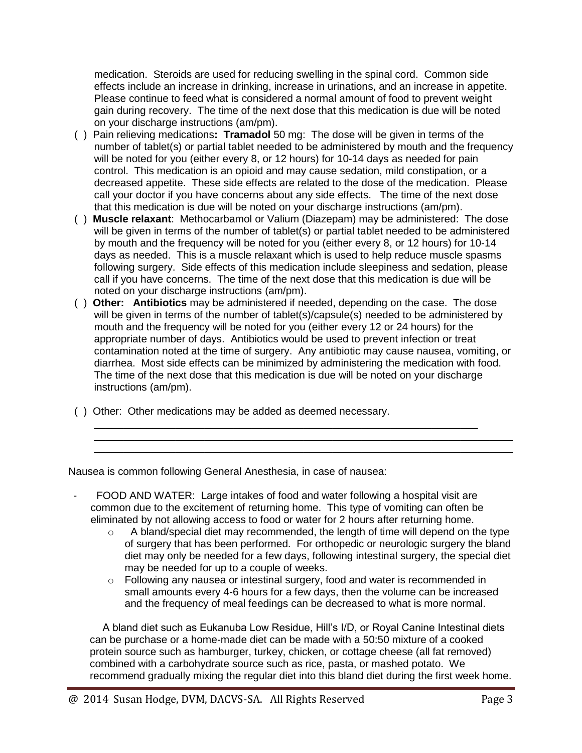medication. Steroids are used for reducing swelling in the spinal cord. Common side effects include an increase in drinking, increase in urinations, and an increase in appetite. Please continue to feed what is considered a normal amount of food to prevent weight gain during recovery. The time of the next dose that this medication is due will be noted on your discharge instructions (am/pm).

- ( ) Pain relieving medications**: Tramadol** 50 mg: The dose will be given in terms of the number of tablet(s) or partial tablet needed to be administered by mouth and the frequency will be noted for you (either every 8, or 12 hours) for 10-14 days as needed for pain control. This medication is an opioid and may cause sedation, mild constipation, or a decreased appetite. These side effects are related to the dose of the medication. Please call your doctor if you have concerns about any side effects. The time of the next dose that this medication is due will be noted on your discharge instructions (am/pm).
- ( ) **Muscle relaxant**: Methocarbamol or Valium (Diazepam) may be administered: The dose will be given in terms of the number of tablet(s) or partial tablet needed to be administered by mouth and the frequency will be noted for you (either every 8, or 12 hours) for 10-14 days as needed. This is a muscle relaxant which is used to help reduce muscle spasms following surgery. Side effects of this medication include sleepiness and sedation, please call if you have concerns. The time of the next dose that this medication is due will be noted on your discharge instructions (am/pm).
- ( ) **Other: Antibiotics** may be administered if needed, depending on the case. The dose will be given in terms of the number of tablet(s)/capsule(s) needed to be administered by mouth and the frequency will be noted for you (either every 12 or 24 hours) for the appropriate number of days. Antibiotics would be used to prevent infection or treat contamination noted at the time of surgery. Any antibiotic may cause nausea, vomiting, or diarrhea. Most side effects can be minimized by administering the medication with food. The time of the next dose that this medication is due will be noted on your discharge instructions (am/pm).

\_\_\_\_\_\_\_\_\_\_\_\_\_\_\_\_\_\_\_\_\_\_\_\_\_\_\_\_\_\_\_\_\_\_\_\_\_\_\_\_\_\_\_\_\_\_\_\_\_\_\_\_\_\_\_\_\_\_\_\_\_\_\_\_\_\_

\_\_\_\_\_\_\_\_\_\_\_\_\_\_\_\_\_\_\_\_\_\_\_\_\_\_\_\_\_\_\_\_\_\_\_\_\_\_\_\_\_\_\_\_\_\_\_\_\_\_\_\_\_\_\_\_\_\_\_\_\_\_\_\_\_\_\_\_\_\_\_\_ \_\_\_\_\_\_\_\_\_\_\_\_\_\_\_\_\_\_\_\_\_\_\_\_\_\_\_\_\_\_\_\_\_\_\_\_\_\_\_\_\_\_\_\_\_\_\_\_\_\_\_\_\_\_\_\_\_\_\_\_\_\_\_\_\_\_\_\_\_\_\_\_

( ) Other: Other medications may be added as deemed necessary.

Nausea is common following General Anesthesia, in case of nausea:

- FOOD AND WATER: Large intakes of food and water following a hospital visit are common due to the excitement of returning home. This type of vomiting can often be eliminated by not allowing access to food or water for 2 hours after returning home.
	- $\circ$  A bland/special diet may recommended, the length of time will depend on the type of surgery that has been performed. For orthopedic or neurologic surgery the bland diet may only be needed for a few days, following intestinal surgery, the special diet may be needed for up to a couple of weeks.
	- $\circ$  Following any nausea or intestinal surgery, food and water is recommended in small amounts every 4-6 hours for a few days, then the volume can be increased and the frequency of meal feedings can be decreased to what is more normal.

A bland diet such as Eukanuba Low Residue, Hill's I/D, or Royal Canine Intestinal diets can be purchase or a home-made diet can be made with a 50:50 mixture of a cooked protein source such as hamburger, turkey, chicken, or cottage cheese (all fat removed) combined with a carbohydrate source such as rice, pasta, or mashed potato. We recommend gradually mixing the regular diet into this bland diet during the first week home.